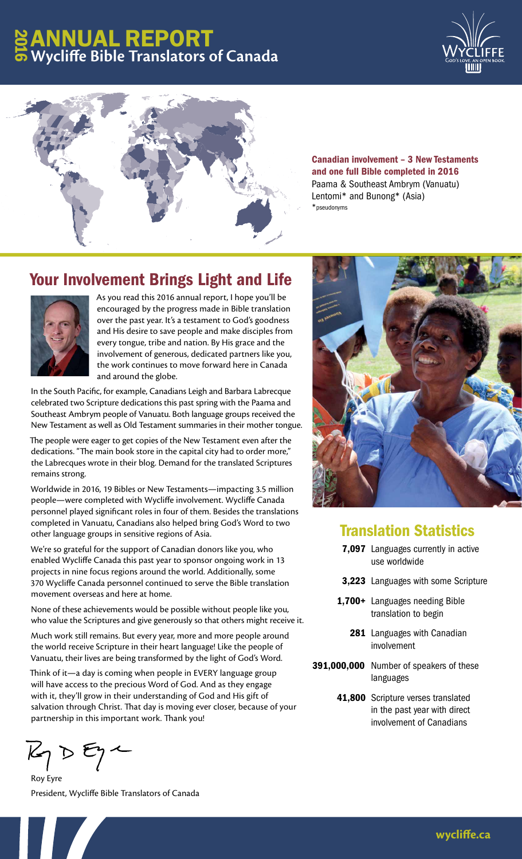# ANNUAL REPORT **Wycliffe Bible Translators of Canada** 2016





Canadian involvement – 3 New Testaments and one full Bible completed in 2016 Paama & Southeast Ambrym (Vanuatu) Lentomi\* and Bunong\* (Asia) \*pseudonyms

## Your Involvement Brings Light and Life



As you read this 2016 annual report, I hope you'll be encouraged by the progress made in Bible translation over the past year. It's a testament to God's goodness and His desire to save people and make disciples from every tongue, tribe and nation. By His grace and the involvement of generous, dedicated partners like you, the work continues to move forward here in Canada and around the globe.

In the South Pacific, for example, Canadians Leigh and Barbara Labrecque celebrated two Scripture dedications this past spring with the Paama and Southeast Ambrym people of Vanuatu. Both language groups received the New Testament as well as Old Testament summaries in their mother tongue.

The people were eager to get copies of the New Testament even after the dedications. "The main book store in the capital city had to order more," the Labrecques wrote in their blog. Demand for the translated Scriptures remains strong.

Worldwide in 2016, 19 Bibles or New Testaments—impacting 3.5 million people—were completed with Wycliffe involvement. Wycliffe Canada personnel played significant roles in four of them. Besides the translations completed in Vanuatu, Canadians also helped bring God's Word to two other language groups in sensitive regions of Asia.

We're so grateful for the support of Canadian donors like you, who enabled Wycliffe Canada this past year to sponsor ongoing work in 13 projects in nine focus regions around the world. Additionally, some 370 Wycliffe Canada personnel continued to serve the Bible translation movement overseas and here at home.

None of these achievements would be possible without people like you, who value the Scriptures and give generously so that others might receive it.

Much work still remains. But every year, more and more people around the world receive Scripture in their heart language! Like the people of Vanuatu, their lives are being transformed by the light of God's Word.

Think of it—a day is coming when people in EVERY language group will have access to the precious Word of God. And as they engage with it, they'll grow in their understanding of God and His gift of salvation through Christ. That day is moving ever closer, because of your partnership in this important work. Thank you!

 $K_{\gamma}$   $\triangleright$   $\epsilon_{\gamma}$   $\sim$ 

Roy Eyre President, Wycliffe Bible Translators of Canada



### Translation Statistics

- 7,097 Languages currently in active use worldwide
- 3,223 Languages with some Scripture
- 1,700+ Languages needing Bible translation to begin
- 281 Languages with Canadian involvement
- 391,000,000 Number of speakers of these languages
	- 41,800 Scripture verses translated in the past year with direct involvement of Canadians